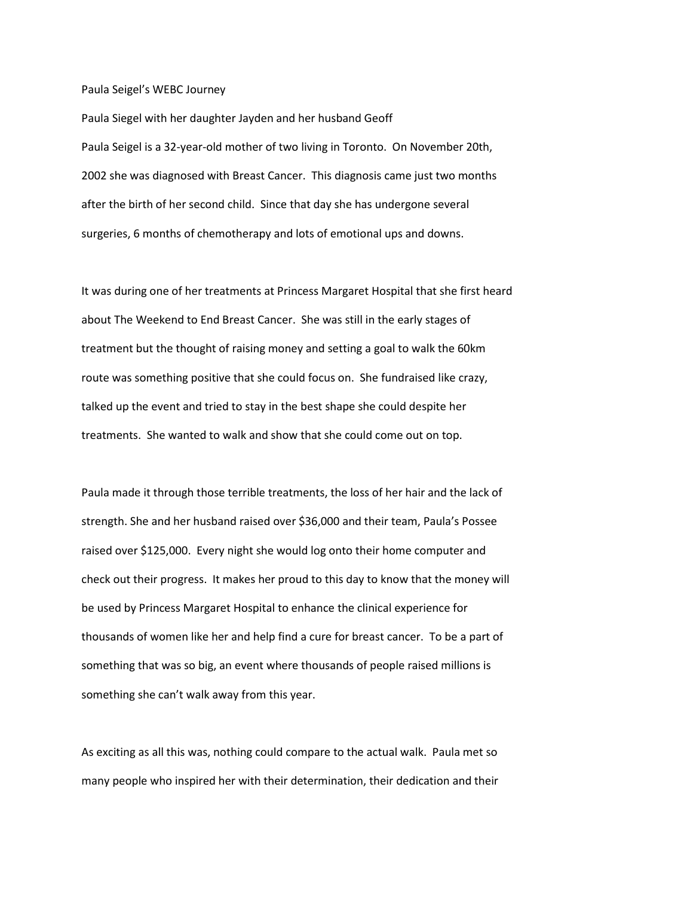## Paula Seigel's WEBC Journey

Paula Siegel with her daughter Jayden and her husband Geoff Paula Seigel is a 32-year-old mother of two living in Toronto. On November 20th, 2002 she was diagnosed with Breast Cancer. This diagnosis came just two months after the birth of her second child. Since that day she has undergone several surgeries, 6 months of chemotherapy and lots of emotional ups and downs.

It was during one of her treatments at Princess Margaret Hospital that she first heard about The Weekend to End Breast Cancer. She was still in the early stages of treatment but the thought of raising money and setting a goal to walk the 60km route was something positive that she could focus on. She fundraised like crazy, talked up the event and tried to stay in the best shape she could despite her treatments. She wanted to walk and show that she could come out on top.

Paula made it through those terrible treatments, the loss of her hair and the lack of strength. She and her husband raised over \$36,000 and their team, Paula's Possee raised over \$125,000. Every night she would log onto their home computer and check out their progress. It makes her proud to this day to know that the money will be used by Princess Margaret Hospital to enhance the clinical experience for thousands of women like her and help find a cure for breast cancer. To be a part of something that was so big, an event where thousands of people raised millions is something she can't walk away from this year.

As exciting as all this was, nothing could compare to the actual walk. Paula met so many people who inspired her with their determination, their dedication and their